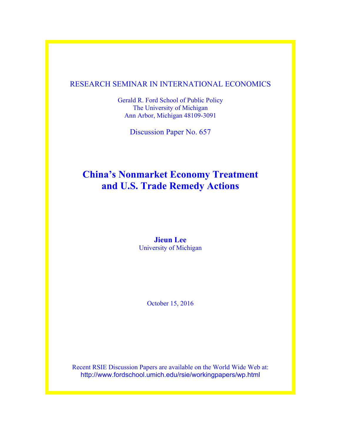# RESEARCH SEMINAR IN INTERNATIONAL ECONOMICS

Gerald R. Ford School of Public Policy The University of Michigan Ann Arbor, Michigan 48109-3091

Discussion Paper No. 657

# **China's Nonmarket Economy Treatment and U.S. Trade Remedy Actions**

**Jieun Lee** University of Michigan

October 15, 2016

Recent RSIE Discussion Papers are available on the World Wide Web at: http://www.fordschool.umich.edu/rsie/workingpapers/wp.html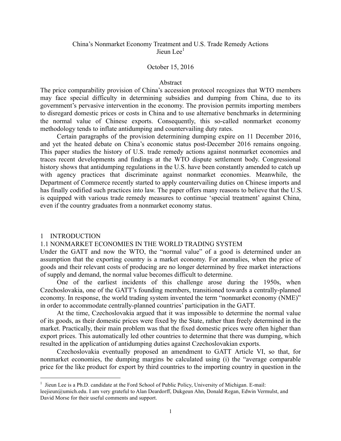# China's Nonmarket Economy Treatment and U.S. Trade Remedy Actions Jieun Lee<sup>1</sup>

# October 15, 2016

## Abstract

The price comparability provision of China's accession protocol recognizes that WTO members may face special difficulty in determining subsidies and dumping from China, due to its government's pervasive intervention in the economy. The provision permits importing members to disregard domestic prices or costs in China and to use alternative benchmarks in determining the normal value of Chinese exports. Consequently, this so-called nonmarket economy methodology tends to inflate antidumping and countervailing duty rates.

 Certain paragraphs of the provision determining dumping expire on 11 December 2016, and yet the heated debate on China's economic status post-December 2016 remains ongoing. This paper studies the history of U.S. trade remedy actions against nonmarket economies and traces recent developments and findings at the WTO dispute settlement body. Congressional history shows that antidumping regulations in the U.S. have been constantly amended to catch up with agency practices that discriminate against nonmarket economies. Meanwhile, the Department of Commerce recently started to apply countervailing duties on Chinese imports and has finally codified such practices into law. The paper offers many reasons to believe that the U.S. is equipped with various trade remedy measures to continue 'special treatment' against China, even if the country graduates from a nonmarket economy status.

#### 1 INTRODUCTION

-

## 1.1 NONMARKET ECONOMIES IN THE WORLD TRADING SYSTEM

Under the GATT and now the WTO, the "normal value" of a good is determined under an assumption that the exporting country is a market economy. For anomalies, when the price of goods and their relevant costs of producing are no longer determined by free market interactions of supply and demand, the normal value becomes difficult to determine.

 One of the earliest incidents of this challenge arose during the 1950s, when Czechoslovakia, one of the GATT's founding members, transitioned towards a centrally-planned economy. In response, the world trading system invented the term "nonmarket economy (NME)" in order to accommodate centrally-planned countries' participation in the GATT.

 At the time, Czechoslovakia argued that it was impossible to determine the normal value of its goods, as their domestic prices were fixed by the State, rather than freely determined in the market. Practically, their main problem was that the fixed domestic prices were often higher than export prices. This automatically led other countries to determine that there was dumping, which resulted in the application of antidumping duties against Czechoslovakian exports.

 Czechoslovakia eventually proposed an amendment to GATT Article VI, so that, for nonmarket economies, the dumping margins be calculated using (i) the "average comparable price for the like product for export by third countries to the importing country in question in the

 $<sup>1</sup>$  Jieun Lee is a Ph.D. candidate at the Ford School of Public Policy, University of Michigan. E-mail:</sup> leejieun@umich.edu. I am very grateful to Alan Deardorff, Dukgeun Ahn, Donald Regan, Edwin Vermulst, and David Morse for their useful comments and support.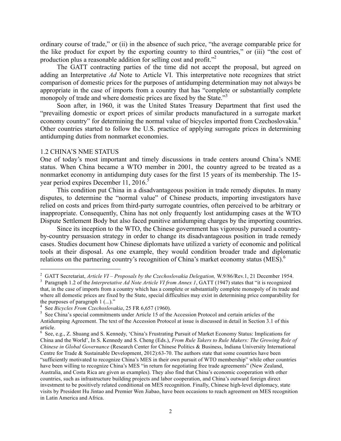ordinary course of trade," or (ii) in the absence of such price, "the average comparable price for the like product for export by the exporting country to third countries," or (iii) "the cost of production plus a reasonable addition for selling cost and profit."<sup>2</sup>

The GATT contracting parties of the time did not accept the proposal, but agreed on adding an Interpretative *Ad* Note to Article VI. This interpretative note recognizes that strict comparison of domestic prices for the purposes of antidumping determination may not always be appropriate in the case of imports from a country that has "complete or substantially complete monopoly of trade and where domestic prices are fixed by the State."<sup>3</sup>

Soon after, in 1960, it was the United States Treasury Department that first used the "prevailing domestic or export prices of similar products manufactured in a surrogate market economy country" for determining the normal value of bicycles imported from Czechoslovakia.<sup>4</sup> Other countries started to follow the U.S. practice of applying surrogate prices in determining antidumping duties from nonmarket economies.

#### 1.2 CHINA'S NME STATUS

-

One of today's most important and timely discussions in trade centers around China's NME status. When China became a WTO member in 2001, the country agreed to be treated as a nonmarket economy in antidumping duty cases for the first 15 years of its membership. The 15 year period expires December 11, 2016.<sup>5</sup>

 This condition put China in a disadvantageous position in trade remedy disputes. In many disputes, to determine the "normal value" of Chinese products, importing investigators have relied on costs and prices from third-party surrogate countries, often perceived to be arbitrary or inappropriate. Consequently, China has not only frequently lost antidumping cases at the WTO Dispute Settlement Body but also faced punitive antidumping charges by the importing countries.

Since its inception to the WTO, the Chinese government has vigorously pursued a countryby-country persuasion strategy in order to change its disadvantageous position in trade remedy cases. Studies document how Chinese diplomats have utilized a variety of economic and political tools at their disposal. As one example, they would condition broader trade and diplomatic relations on the partnering country's recognition of China's market economy status (MES).<sup>6</sup>

<sup>&</sup>lt;sup>2</sup> GATT Secretariat, Article VI – Proposals by the Czechoslovakia Delegation, W.9/86/Rev.1, 21 December 1954.<br><sup>3</sup> Paragraph 1.2 of the Interpretative Ad Note Article VI from Annex 1, GATT (1947) states that "it is recogn

that, in the case of imports from a country which has a complete or substantially complete monopoly of its trade and where all domestic prices are fixed by the State, special difficulties may exist in determining price comparability for the purposes of paragraph  $1$  (...)."<br><sup>4</sup> See *Bicycles From Czechoslovakia*, 25 FR 6,657 (1960).

<sup>&</sup>lt;sup>5</sup> See China's special commitments under Article 15 of the Accession Protocol and certain articles of the Antidumping Agreement. The text of the Accession Protocol at issue is discussed in detail in Section 3.1 of this article.

<sup>6</sup> See, e.g., Z. Shuang and S. Kennedy, 'China's Frustrating Pursuit of Market Economy Status: Implications for China and the World', In S. Kennedy and S. Cheng (Eds.), *From Rule Takers to Rule Makers: The Growing Role of Chinese in Global Governance* (Research Center for Chinese Politics & Business, Indiana University International Centre for Trade & Sustainable Development, 2012):63-70. The authors state that some countries have been "sufficiently motivated to recognize China's MES in their own pursuit of WTO membership" while other countries have been willing to recognize China's MES "in return for negotiating free trade agreements" (New Zealand, Australia, and Costa Rica are given as examples). They also find that China's economic cooperation with other countries, such as infrastructure building projects and labor cooperation, and China's outward foreign direct investment to be positively related conditional on MES recognition. Finally, Chinese high-level diplomacy, state visits by President Hu Jintao and Premier Wen Jiabao, have been occasions to reach agreement on MES recognition in Latin America and Africa.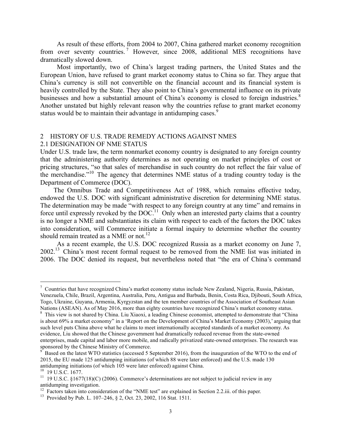As result of these efforts, from 2004 to 2007, China gathered market economy recognition from over seventy countries.<sup>7</sup> However, since 2008, additional MES recognitions have dramatically slowed down.

Most importantly, two of China's largest trading partners, the United States and the European Union, have refused to grant market economy status to China so far. They argue that China's currency is still not convertible on the financial account and its financial system is heavily controlled by the State. They also point to China's governmental influence on its private businesses and how a substantial amount of China's economy is closed to foreign industries.<sup>8</sup> Another unstated but highly relevant reason why the countries refuse to grant market economy status would be to maintain their advantage in antidumping cases.<sup>9</sup>

### 2 HISTORY OF U.S. TRADE REMEDY ACTIONS AGAINST NMES 2.1 DESIGNATION OF NME STATUS

Under U.S. trade law, the term nonmarket economy country is designated to any foreign country that the administering authority determines as not operating on market principles of cost or pricing structures, "so that sales of merchandise in such country do not reflect the fair value of the merchandise."<sup>10</sup> The agency that determines NME status of a trading country today is the Department of Commerce (DOC).

 The Omnibus Trade and Competitiveness Act of 1988, which remains effective today, endowed the U.S. DOC with significant administrative discretion for determining NME status. The determination may be made "with respect to any foreign country at any time" and remains in force until expressly revoked by the DOC.<sup>11</sup> Only when an interested party claims that a country is no longer a NME and substantiates its claim with respect to each of the factors the DOC takes into consideration, will Commerce initiate a formal inquiry to determine whether the country should remain treated as a NME or not.<sup>12</sup>

As a recent example, the U.S. DOC recognized Russia as a market economy on June 7, 2002.13 China's most recent formal request to be removed from the NME list was initiated in 2006. The DOC denied its request, but nevertheless noted that "the era of China's command

<sup>7</sup> Countries that have recognized China's market economy status include New Zealand, Nigeria, Russia, Pakistan, Venezuela, Chile, Brazil, Argentina, Australia, Peru, Antigua and Barbuda, Benin, Costa Rica, Djibouti, South Africa, Togo, Ukraine, Guyana, Armenia, Kyrgyzstan and the ten member countries of the Association of Southeast Asian Nations (ASEAN). As of May 2016, more than eighty countries have recognized China's market economy status.<br><sup>8</sup> This view is not shared by China. Liu Xiaoxi, a leading Chinese economist, attempted to demonstrate that "China

is about 69% a market economy" in a 'Report on the Development of China's Market Economy (2003),' arguing that such level puts China above what he claims to meet internationally accepted standards of a market economy. As evidence, Liu showed that the Chinese government had dramatically reduced revenue from the state-owned enterprises, made capital and labor more mobile, and radically privatized state-owned enterprises. The research was sponsored by the Chinese Ministry of Commerce.<br><sup>9</sup> Based on the latest WTO statistics (accessed 5 September 2016), from the inauguration of the WTO to the end of

<sup>2015,</sup> the EU made 125 antidumping initiations (of which 88 were later enforced) and the U.S. made 130

<sup>&</sup>lt;sup>10</sup> 19 U.S.C. 1677.<br><sup>11</sup> 19 U.S.C. §1677(18)(C) (2006). Commerce's determinations are not subject to judicial review in any antidumping investigation.

<sup>&</sup>lt;sup>12</sup> Factors taken into consideration of the "NME test" are explained in Section 2.2.iii. of this paper.<br><sup>13</sup> Provided by Pub. L. 107–246, § 2, Oct. 23, 2002, 116 Stat. 1511.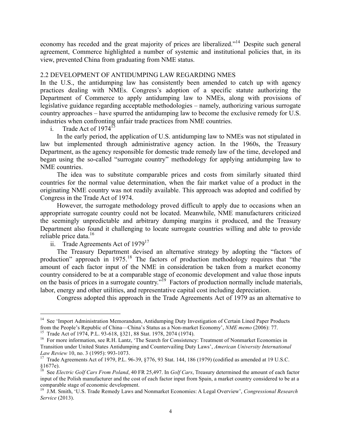economy has receded and the great majority of prices are liberalized."14 Despite such general agreement, Commerce highlighted a number of systemic and institutional policies that, in its view, prevented China from graduating from NME status.

# 2.2 DEVELOPMENT OF ANTIDUMPING LAW REGARDING NMES

In the U.S., the antidumping law has consistently been amended to catch up with agency practices dealing with NMEs. Congress's adoption of a specific statute authorizing the Department of Commerce to apply antidumping law to NMEs, along with provisions of legislative guidance regarding acceptable methodologies – namely, authorizing various surrogate country approaches – have spurred the antidumping law to become the exclusive remedy for U.S. industries when confronting unfair trade practices from NME countries.

i. Trade Act of  $1974^{15}$ 

In the early period, the application of U.S. antidumping law to NMEs was not stipulated in law but implemented through administrative agency action. In the 1960s, the Treasury Department, as the agency responsible for domestic trade remedy law of the time, developed and began using the so-called "surrogate country" methodology for applying antidumping law to NME countries.

The idea was to substitute comparable prices and costs from similarly situated third countries for the normal value determination, when the fair market value of a product in the originating NME country was not readily available. This approach was adopted and codified by Congress in the Trade Act of 1974.

However, the surrogate methodology proved difficult to apply due to occasions when an appropriate surrogate country could not be located. Meanwhile, NME manufacturers criticized the seemingly unpredictable and arbitrary dumping margins it produced, and the Treasury Department also found it challenging to locate surrogate countries willing and able to provide reliable price data. $16$ 

ii. Trade Agreements Act of  $1979^{17}$ 

-

The Treasury Department devised an alternative strategy by adopting the "factors of production" approach in 1975.<sup>18</sup> The factors of production methodology requires that "the amount of each factor input of the NME in consideration be taken from a market economy country considered to be at a comparable stage of economic development and value those inputs on the basis of prices in a surrogate country.<sup>79</sup> Factors of production normally include materials, labor, energy and other utilities, and representative capital cost including depreciation.

Congress adopted this approach in the Trade Agreements Act of 1979 as an alternative to

<sup>&</sup>lt;sup>14</sup> See 'Import Administration Memorandum, Antidumping Duty Investigation of Certain Lined Paper Products from the People's Republic of China—China's Status as a Non-market Economy', *NME memo* (2006): 77.

<sup>&</sup>lt;sup>15</sup> Trade Act of 1974, P.L. 93-618, §321, 88 Stat. 1978, 2074 (1974).<br><sup>16</sup> For more information, see R.H. Lantz, 'The Search for Consistency: Treatment of Nonmarket Economies in Transition under United States Antidumping and Countervailing Duty Laws', *American University International Law Review* 10, no. 3 (1995): 993-1073.<br><sup>17</sup> Trade Agreements Act of 1979, P.L. 96-39, §776, 93 Stat. 144, 186 (1979) (codified as amended at 19 U.S.C.

 $$1677e$ ).<br><sup>18</sup> See El

<sup>18</sup> See *Electric Golf Cars From Poland*, 40 FR 25,497. In *Golf Cars*, Treasury determined the amount of each factor input of the Polish manufacturer and the cost of each factor input from Spain, a market country considered to be at a comparable stage of economic development. <sup>19</sup> J.M. Smith, 'U.S. Trade Remedy Laws and Nonmarket Economies: A Legal Overview', *Congressional Research* 

*Service* (2013).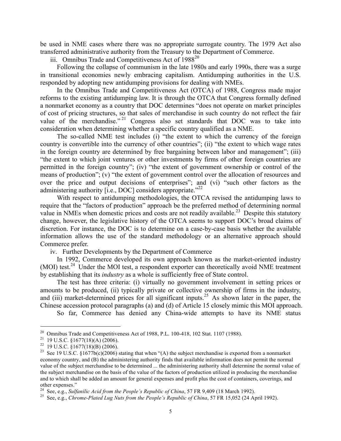be used in NME cases where there was no appropriate surrogate country. The 1979 Act also transferred administrative authority from the Treasury to the Department of Commerce.

iii. Omnibus Trade and Competitiveness Act of 1988<sup>20</sup>

Following the collapse of communism in the late 1980s and early 1990s, there was a surge in transitional economies newly embracing capitalism. Antidumping authorities in the U.S. responded by adopting new antidumping provisions for dealing with NMEs.

In the Omnibus Trade and Competitiveness Act (OTCA) of 1988, Congress made major reforms to the existing antidumping law. It is through the OTCA that Congress formally defined a nonmarket economy as a country that DOC determines "does not operate on market principles of cost of pricing structures, so that sales of merchandise in such country do not reflect the fair value of the merchandise."<sup>21</sup> Congress also set standards that DOC was to take into consideration when determining whether a specific country qualified as a NME.

The so-called NME test includes (i) "the extent to which the currency of the foreign country is convertible into the currency of other countries"; (ii) "the extent to which wage rates in the foreign country are determined by free bargaining between labor and management"; (iii) "the extent to which joint ventures or other investments by firms of other foreign countries are permitted in the foreign country"; (iv) "the extent of government ownership or control of the means of production"; (v) "the extent of government control over the allocation of resources and over the price and output decisions of enterprises"; and (vi) "such other factors as the administering authority [i.e., DOC] considers appropriate."<sup>22</sup>

With respect to antidumping methodologies, the OTCA revised the antidumping laws to require that the "factors of production" approach be the preferred method of determining normal value in NMEs when domestic prices and costs are not readily available.<sup>23</sup> Despite this statutory change, however, the legislative history of the OTCA seems to support DOC's broad claims of discretion. For instance, the DOC is to determine on a case-by-case basis whether the available information allows the use of the standard methodology or an alternative approach should Commerce prefer.

iv. Further Developments by the Department of Commerce

In 1992, Commerce developed its own approach known as the market-oriented industry (MOI) test.<sup>24</sup> Under the MOI test, a respondent exporter can theoretically avoid NME treatment by establishing that its *industry* as a whole is sufficiently free of State control.

The test has three criteria: (i) virtually no government involvement in setting prices or amounts to be produced, (ii) typically private or collective ownership of firms in the industry, and (iii) market-determined prices for all significant inputs.<sup>25</sup> As shown later in the paper, the Chinese accession protocol paragraphs (a) and (d) of Article 15 closely mimic this MOI approach.

So far, Commerce has denied any China-wide attempts to have its NME status

<sup>&</sup>lt;sup>20</sup> Omnibus Trade and Competitiveness Act of 1988, P.L. 100-418, 102 Stat. 1107 (1988).<br><sup>21</sup> 19 U.S.C. §1677(18)(A) (2006).<br><sup>22</sup> 19 U.S.C. §1677(18)(B) (2006).<br><sup>23</sup> See 19 U.S.C. §1677b(c)(2006) stating that when "(A) th economy country, and (B) the administering authority finds that available information does not permit the normal value of the subject merchandise to be determined ... the administering authority shall determine the normal value of the subject merchandise on the basis of the value of the factors of production utilized in producing the merchandise and to which shall be added an amount for general expenses and profit plus the cost of containers, coverings, and other expenses."<br><sup>24</sup> See, e.g., *Sulfanilic Acid from the People's Republic of China*, 57 FR 9,409 (18 March 1992).

<sup>&</sup>lt;sup>25</sup> See, e.g., *Chrome-Plated Lug Nuts from the People's Republic of China*, 57 FR 15,052 (24 April 1992).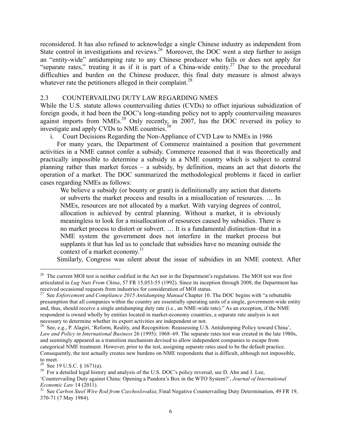reconsidered. It has also refused to acknowledge a single Chinese industry as independent from State control in investigations and reviews.<sup>26</sup> Moreover, the DOC went a step further to assign an "entity-wide" antidumping rate to any Chinese producer who fails or does not apply for "separate rates," treating it as if it is part of a China-wide entity.<sup>27</sup> Due to the procedural difficulties and burden on the Chinese producer, this final duty measure is almost always whatever rate the petitioners alleged in their complaint.<sup>28</sup>

# 2.3 COUNTERVAILING DUTY LAW REGARDING NMES

While the U.S. statute allows countervailing duties (CVDs) to offset injurious subsidization of foreign goods, it had been the DOC's long-standing policy not to apply countervailing measures against imports from NMEs.<sup>29</sup> Only recently, in 2007, has the DOC reversed its policy to investigate and apply CVDs to NME countries.<sup>30</sup>

i. Court Decisions Regarding the Non-Appliance of CVD Law to NMEs in 1986

For many years, the Department of Commerce maintained a position that government activities in a NME cannot confer a subsidy. Commerce reasoned that it was theoretically and practically impossible to determine a subsidy in a NME country which is subject to central planning rather than market forces – a subsidy, by definition, means an act that distorts the operation of a market. The DOC summarized the methodological problems it faced in earlier cases regarding NMEs as follows:

We believe a subsidy (or bounty or grant) is definitionally any action that distorts or subverts the market process and results in a misallocation of resources. … In NMEs, resources are not allocated by a market. With varying degrees of control, allocation is achieved by central planning. Without a market, it is obviously meaningless to look for a misallocation of resources caused by subsidies. There is no market process to distort or subvert. … It is a fundamental distinction–that in a NME system the government does not interfere in the market process but supplants it that has led us to conclude that subsidies have no meaning outside the context of a market economy.<sup>31</sup>

Similarly, Congress was silent about the issue of subsidies in an NME context. After

<sup>&</sup>lt;sup>26</sup> The current MOI test is neither codified in the Act nor in the Department's regulations. The MOI test was first articulated in *Lug Nuts From China*, 57 FR 15,053-55 (1992). Since its inception through 2008, the Department has received occasional requests from industries for consideration of MOI status.

<sup>27</sup> See *Enforcement and Compliance 2015 Antidumping Manual* Chapter 10. The DOC begins with "a rebuttable presumption that all companies within the country are essentially operating units of a single, government-wide entity and, thus, should receive a single antidumping duty rate (i.e., an NME-wide rate)." As an exception, if the NME respondent is owned wholly by entities located in market-economy countries, a separate rate analysis is not necessary to determine whether its export activities are independent or not.

<sup>28</sup> See, e.g., P. Alagiri, 'Reform, Reality, and Recognition: Reassessing U.S. Antidumping Policy toward China', *Law and Policy in International Business* 26 (1995): 1068–69. The separate rates test was created in the late 1980s, and seemingly appeared as a transition mechanism devised to allow independent companies to escape from categorical NME treatment. However, prior to the test, assigning separate rates used to be the default practice. Consequently, the test actually creates new burdens on NME respondents that is difficult, although not impossible, to meet.<br> $^{29}$  See 19 U.S.C. § 1671(a).

<sup>&</sup>lt;sup>30</sup> For a detailed legal history and analysis of the U.S. DOC's policy reversal, see D. Ahn and J. Lee, 'Countervailing Duty against China: Opening a Pandora's Box in the WTO System?', *Journal of International* 

*Economic Law 14 (2011).*<br><sup>31</sup> See *Carbon Steel Wire Rod from Czechoslovakia*; Final Negative Countervailing Duty Determination, 49 FR 19, 370-71 (7 May 1984).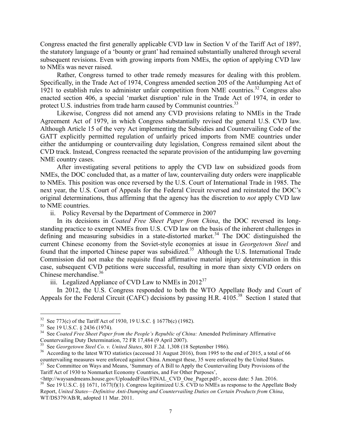Congress enacted the first generally applicable CVD law in Section V of the Tariff Act of 1897, the statutory language of a 'bounty or grant' had remained substantially unaltered through several subsequent revisions. Even with growing imports from NMEs, the option of applying CVD law to NMEs was never raised.

Rather, Congress turned to other trade remedy measures for dealing with this problem. Specifically, in the Trade Act of 1974, Congress amended section 205 of the Antidumping Act of 1921 to establish rules to administer unfair competition from NME countries.<sup>32</sup> Congress also enacted section 406, a special 'market disruption' rule in the Trade Act of 1974, in order to protect U.S. industries from trade harm caused by Communist countries.<sup>33</sup>

Likewise, Congress did not amend any CVD provisions relating to NMEs in the Trade Agreement Act of 1979, in which Congress substantially revised the general U.S. CVD law. Although Article 15 of the very Act implementing the Subsidies and Countervailing Code of the GATT explicitly permitted regulation of unfairly priced imports from NME countries under either the antidumping or countervailing duty legislation, Congress remained silent about the CVD track. Instead, Congress reenacted the separate provision of the antidumping law governing NME country cases.

After investigating several petitions to apply the CVD law on subsidized goods from NMEs, the DOC concluded that, as a matter of law, countervailing duty orders were inapplicable to NMEs. This position was once reversed by the U.S. Court of International Trade in 1985. The next year, the U.S. Court of Appeals for the Federal Circuit reversed and reinstated the DOC's original determinations, thus affirming that the agency has the discretion to *not* apply CVD law to NME countries.

ii. Policy Reversal by the Department of Commerce in 2007

In its decisions in *Coated Free Sheet Paper from China*, the DOC reversed its longstanding practice to exempt NMEs from U.S. CVD law on the basis of the inherent challenges in defining and measuring subsidies in a state-distorted market.<sup>34</sup> The DOC distinguished the current Chinese economy from the Soviet-style economies at issue in *Georgetown Steel* and found that the imported Chinese paper was subsidized.<sup>35</sup> Although the U.S. International Trade Commission did not make the requisite final affirmative material injury determination in this case, subsequent CVD petitions were successful, resulting in more than sixty CVD orders on Chinese merchandise.<sup>36</sup>

iii. Legalized Appliance of CVD Law to NMEs in  $2012^{37}$ 

In 2012, the U.S. Congress responded to both the WTO Appellate Body and Court of Appeals for the Federal Circuit (CAFC) decisions by passing H.R. 4105.<sup>38</sup> Section 1 stated that

<sup>&</sup>lt;sup>32</sup> See 773(c) of the Tariff Act of 1930, 19 U.S.C. § 1677b(c) (1982).<br><sup>33</sup> See 19 U.S.C. § 2436 (1974).<br><sup>34</sup> See *Coated Free Sheet Paper from the People's Republic of China:* Amended Preliminary Affirmative<br>Countervaili

<sup>&</sup>lt;sup>35</sup> See *Georgetown Steel Co. v. United States*, 801 F.2d. 1,308 (18 September 1986).<br><sup>36</sup> According to the latest WTO statistics (accessed 31 August 2016), from 1995 to the end of 2015, a total of 66 countervailing meas

<sup>&</sup>lt;sup>37</sup> See Committee on Ways and Means, 'Summary of A Bill to Apply the Countervailing Duty Provisions of the Tariff Act of 1930 to Nonmarket Economy Countries, and For Other Purposes',

<sup>&</sup>lt;sup>38</sup> See 19 U.S.C. §§ 1671, 1677(f)(1). Congress legitimized U.S. CVD to NMEs as response to the Appellate Body Report, *United States—Definitive Anti-Dumping and Countervailing Duties on Certain Products from China*, WT/DS379/AB/R, adopted 11 Mar. 2011.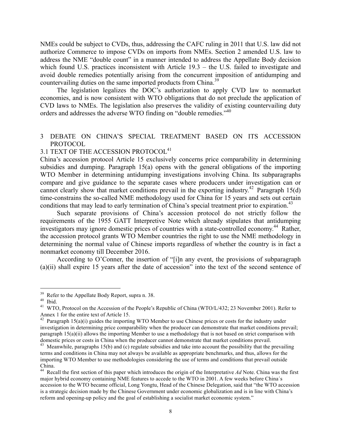NMEs could be subject to CVDs, thus, addressing the CAFC ruling in 2011 that U.S. law did not authorize Commerce to impose CVDs on imports from NMEs. Section 2 amended U.S. law to address the NME "double count" in a manner intended to address the Appellate Body decision which found U.S. practices inconsistent with Article 19.3 – the U.S. failed to investigate and avoid double remedies potentially arising from the concurrent imposition of antidumping and countervailing duties on the same imported products from China.<sup>39</sup>

The legislation legalizes the DOC's authorization to apply CVD law to nonmarket economies, and is now consistent with WTO obligations that do not preclude the application of CVD laws to NMEs. The legislation also preserves the validity of existing countervailing duty orders and addresses the adverse WTO finding on "double remedies."<sup>40</sup>

# 3 DEBATE ON CHINA'S SPECIAL TREATMENT BASED ON ITS ACCESSION PROTOCOL

# $3.1$  TEXT OF THE ACCESSION  ${\rm PROTOCOL}^{41}$

China's accession protocol Article 15 exclusively concerns price comparability in determining subsidies and dumping. Paragraph 15(a) opens with the general obligations of the importing WTO Member in determining antidumping investigations involving China. Its subparagraphs compare and give guidance to the separate cases where producers under investigation can or cannot clearly show that market conditions prevail in the exporting industry. <sup>42</sup> Paragraph 15(d) time-constrains the so-called NME methodology used for China for 15 years and sets out certain conditions that may lead to early termination of China's special treatment prior to expiration.<sup>43</sup>

 Such separate provisions of China's accession protocol do not strictly follow the requirements of the 1955 GATT Interpretive Note which already stipulates that antidumping investigators may ignore domestic prices of countries with a state-controlled economy.<sup>44</sup> Rather, the accession protocol grants WTO Member countries the right to use the NME methodology in determining the normal value of Chinese imports regardless of whether the country is in fact a nonmarket economy till December 2016.

According to O'Conner, the insertion of "[i]n any event, the provisions of subparagraph (a)(ii) shall expire 15 years after the date of accession" into the text of the second sentence of

<sup>&</sup>lt;sup>39</sup> Refer to the Appellate Body Report, supra n. 38.<br><sup>40</sup> Ibid.  $\frac{100 \text{ N}}{41 \text{ W}}$  WTO, Protocol on the Accession of the People's Republic of China (WTO/L/432; 23 November 2001). Refer to Annex 1 for the entire text of Article 15.<br><sup>42</sup> Paragraph 15(a)(i) guides the importing WTO Member to use Chinese prices or costs for the industry under

investigation in determining price comparability when the producer can demonstrate that market conditions prevail; paragraph 15(a)(ii) allows the importing Member to use a methodology that is not based on strict comparison with domestic prices or costs in China when the producer cannot demonstrate that market conditions prevail.

<sup>&</sup>lt;sup>43</sup> Meanwhile, paragraphs 15(b) and (c) regulate subsidies and take into account the possibility that the prevailing terms and conditions in China may not always be available as appropriate benchmarks, and thus, allows for the importing WTO Member to use methodologies considering the use of terms and conditions that prevail outside China.

<sup>&</sup>lt;sup>44</sup> Recall the first section of this paper which introduces the origin of the Interpretative Ad Note. China was the first major hybrid economy containing NME features to accede to the WTO in 2001. A few weeks before China´s accession to the WTO became official, Long Yongtu, Head of the Chinese Delegation, said that "the WTO accession is a strategic decision made by the Chinese Government under economic globalization and is in line with China's reform and opening-up policy and the goal of establishing a socialist market economic system."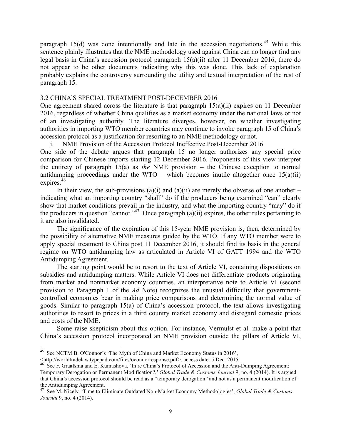paragraph 15(d) was done intentionally and late in the accession negotiations.<sup>45</sup> While this sentence plainly illustrates that the NME methodology used against China can no longer find any legal basis in China's accession protocol paragraph 15(a)(ii) after 11 December 2016, there do not appear to be other documents indicating why this was done. This lack of explanation probably explains the controversy surrounding the utility and textual interpretation of the rest of paragraph 15.

## 3.2 CHINA'S SPECIAL TREATMENT POST-DECEMBER 2016

One agreement shared across the literature is that paragraph  $15(a)(ii)$  expires on 11 December 2016, regardless of whether China qualifies as a market economy under the national laws or not of an investigating authority. The literature diverges, however, on whether investigating authorities in importing WTO member countries may continue to invoke paragraph 15 of China's accession protocol as a justification for resorting to an NME methodology or not.

i. NME Provision of the Accession Protocol Ineffective Post-December 2016

One side of the debate argues that paragraph 15 no longer authorizes any special price comparison for Chinese imports starting 12 December 2016. Proponents of this view interpret the entirety of paragraph 15(a) as *the* NME provision – the Chinese exception to normal antidumping proceedings under the WTO – which becomes inutile altogether once  $15(a)(ii)$ expires. $46$ 

In their view, the sub-provisions (a)(i) and (a)(ii) are merely the obverse of one another – indicating what an importing country "shall" do if the producers being examined "can" clearly show that market conditions prevail in the industry, and what the importing country "may" do if the producers in question "cannot."<sup>47</sup> Once paragraph  $(a)(ii)$  expires, the other rules pertaining to the producers in question "cannot."<sup>47</sup> it are also invalidated.

 The significance of the expiration of this 15-year NME provision is, then, determined by the possibility of alternative NME measures guided by the WTO. If any WTO member were to apply special treatment to China post 11 December 2016, it should find its basis in the general regime on WTO antidumping law as articulated in Article VI of GATT 1994 and the WTO Antidumping Agreement.

The starting point would be to resort to the text of Article VI, containing dispositions on subsidies and antidumping matters. While Article VI does not differentiate products originating from market and nonmarket economy countries, an interpretative note to Article VI (second provision to Paragraph 1 of the *Ad* Note) recognizes the unusual difficulty that governmentcontrolled economies bear in making price comparisons and determining the normal value of goods. Similar to paragraph 15(a) of China's accession protocol, the text allows investigating authorities to resort to prices in a third country market economy and disregard domestic prices and costs of the NME.

Some raise skepticism about this option. For instance, Vermulst et al. make a point that China's accession protocol incorporated an NME provision outside the pillars of Article VI,

<sup>&</sup>lt;sup>45</sup> See NCTM B. O'Connor's 'The Myth of China and Market Economy Status in 2016',  $\lt$ http://worldtradelaw.typepad.com/files/oconnorresponse.pdf>, access date: 5 Dec. 2015.

<sup>&</sup>lt;sup>46</sup> See F. Graafsma and E. Kumashova, 'In re China's Protocol of Accession and the Anti-Dumping Agreement: Temporary Derogation or Permanent Modification?,' *Global Trade & Customs Journal* 9, no. 4 (2014). It is argued that China's accession protocol should be read as a "temporary derogation" and not as a permanent modification of

the Antidumping Agreement. <sup>47</sup> See M. Nicely, 'Time to Eliminate Outdated Non-Market Economy Methodologies', *Global Trade & Customs Journal* 9, no. 4 (2014).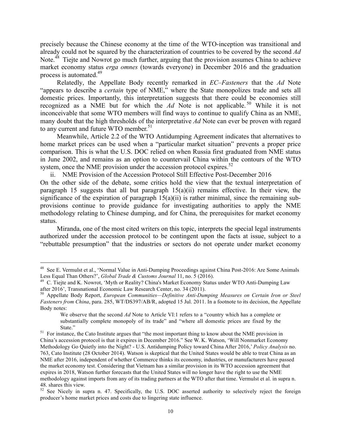precisely because the Chinese economy at the time of the WTO-inception was transitional and already could not be squared by the characterization of countries to be covered by the second *Ad* Note.<sup>48</sup> Tiejte and Nowrot go much further, arguing that the provision assumes China to achieve market economy status *erga omnes* (towards everyone) in December 2016 and the graduation process is automated.49

Relatedly, the Appellate Body recently remarked in *EC–Fasteners* that the *Ad* Note "appears to describe a *certain* type of NME," where the State monopolizes trade and sets all domestic prices. Importantly, this interpretation suggests that there could be economies still recognized as a NME but for which the *Ad* Note is not applicable. <sup>50</sup> While it is not inconceivable that some WTO members will find ways to continue to qualify China as an NME, many doubt that the high thresholds of the interpretative *Ad* Note can ever be proven with regard to any current and future WTO member.<sup>51</sup>

Meanwhile, Article 2.2 of the WTO Antidumping Agreement indicates that alternatives to home market prices can be used when a "particular market situation" prevents a proper price comparison. This is what the U.S. DOC relied on when Russia first graduated from NME status in June 2002, and remains as an option to countervail China within the contours of the WTO system, once the NME provision under the accession protocol expires.<sup>52</sup>

ii. NME Provision of the Accession Protocol Still Effective Post-December 2016 On the other side of the debate, some critics hold the view that the textual interpretation of paragraph 15 suggests that all but paragraph  $15(a)(ii)$  remains effective. In their view, the significance of the expiration of paragraph  $15(a)(ii)$  is rather minimal, since the remaining subprovisions continue to provide guidance for investigating authorities to apply the NME methodology relating to Chinese dumping, and for China, the prerequisites for market economy status.

 Miranda, one of the most cited writers on this topic, interprets the special legal instruments authorized under the accession protocol to be contingent upon the facts at issue, subject to a "rebuttable presumption" that the industries or sectors do not operate under market economy

<sup>&</sup>lt;sup>48</sup> See E. Vermulst et al., 'Normal Value in Anti-Dumping Proceedings against China Post-2016: Are Some Animals Less Equal Than Others?', *Global Trade & Customs Journal* 11, no. 5 (2016).

<sup>&</sup>lt;sup>49</sup> C. Tiejte and K. Nowrot, 'Myth or Reality? China's Market Economy Status under WTO Anti-Dumping Law after 2016', Transnational Economic Law Research Center, no. 34 (2011).

<sup>50</sup> Appellate Body Report, *European Communities—Definitive Anti-Dumping Measures on Certain Iron or Steel Fasteners from China*, para. 285, WT/DS397/AB/R, adopted 15 Jul. 2011. In a footnote to its decision, the Appellate Body notes:

We observe that the second *Ad* Note to Article VI:1 refers to a "country which has a complete or substantially complete monopoly of its trade" and "where all domestic prices are fixed by the State."<br><sup>51</sup> For instance, the Cato Institute argues that "the most important thing to know about the NME provision in

China's accession protocol is that it expires in December 2016." See W. K. Watson, 'Will Nonmarket Economy Methodology Go Quietly into the Night? - U.S. Antidumping Policy toward China After 2016,' *Policy Analysis* no. 763, Cato Institute (28 October 2014). Watson is skeptical that the United States would be able to treat China as an NME after 2016, independent of whether Commerce thinks its economy, industries, or manufacturers have passed the market economy test. Considering that Vietnam has a similar provision in its WTO accession agreement that expires in 2018, Watson further forecasts that the United States will no longer have the right to use the NME methodology against imports from any of its trading partners at the WTO after that time. Vermulst et al. in supra n.

<sup>48.</sup> shares this view.<br><sup>52</sup> See Nicely in supra n. 47. Specifically, the U.S. DOC asserted authority to selectively reject the foreign producer's home market prices and costs due to lingering state influence.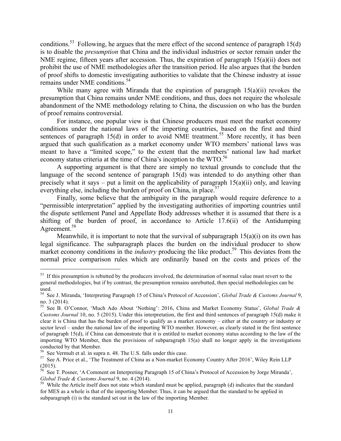conditions.<sup>53</sup> Following, he argues that the mere effect of the second sentence of paragraph 15(d) is to disable the *presumption* that China and the individual industries or sector remain under the NME regime, fifteen years after accession. Thus, the expiration of paragraph 15(a)(ii) does not prohibit the use of NME methodologies after the transition period. He also argues that the burden of proof shifts to domestic investigating authorities to validate that the Chinese industry at issue remains under NME conditions.<sup>54</sup>

 While many agree with Miranda that the expiration of paragraph 15(a)(ii) revokes the presumption that China remains under NME conditions, and thus, does not require the wholesale abandonment of the NME methodology relating to China, the discussion on who has the burden of proof remains controversial.

 For instance, one popular view is that Chinese producers must meet the market economy conditions under the national laws of the importing countries, based on the first and third sentences of paragraph 15(d) in order to avoid NME treatment.<sup>55</sup> More recently, it has been argued that such qualification as a market economy under WTO members' national laws was meant to have a "limited scope," to the extent that the members' national law had market economy status criteria at the time of China's inception to the WTO.<sup>56</sup>

 A supporting argument is that there are simply no textual grounds to conclude that the language of the second sentence of paragraph 15(d) was intended to do anything other than precisely what it says – put a limit on the applicability of paragraph  $15(a)(ii)$  only, and leaving everything else, including the burden of proof on China, in place.<sup>57</sup>

 Finally, some believe that the ambiguity in the paragraph would require deference to a "permissible interpretation" applied by the investigating authorities of importing countries until the dispute settlement Panel and Appellate Body addresses whether it is assumed that there is a shifting of the burden of proof, in accordance to Article 17.6(ii) of the Antidumping Agreement. 58

Meanwhile, it is important to note that the survival of subparagraph  $15(a)(i)$  on its own has legal significance. The subparagraph places the burden on the individual producer to show market economy conditions in the *industry* producing the like product.<sup>59</sup> This deviates from the normal price comparison rules which are ordinarily based on the costs and prices of the

<sup>&</sup>lt;sup>53</sup> If this presumption is rebutted by the producers involved, the determination of normal value must revert to the general methodologies, but if by contrast, the presumption remains unrebutted, then special methodologies can be used.

<sup>54</sup> See J. Miranda, 'Interpreting Paragraph 15 of China's Protocol of Accession', *Global Trade & Customs Journal* 9, no. 3 (2014). 55 See B. O'Connor, 'Much Ado About 'Nothing': 2016, China and Market Economy Status', *Global Trade &* 

*Customs Journal* 10, no. 5 (2015). Under this interpretation, the first and third sentences of paragraph 15(d) make it clear it is China that has the burden of proof to qualify as a market economy – either at the country or industry or sector level – under the national law of the importing WTO member. However, as clearly stated in the first sentence of paragraph  $15(d)$ , if China can demonstrate that it is entitled to market economy status according to the law of the importing WTO Member, then the provisions of subparagraph 15(a) shall no longer apply in the investigations conducted by that Member.<br><sup>56</sup> See Vermult et al. in supra n. 48. The U.S. falls under this case.

<sup>&</sup>lt;sup>57</sup> See A. Price et al., 'The Treatment of China as a Non-market Economy Country After 2016', Wiley Rein LLP (2015).

 $58$  See T. Posner, 'A Comment on Interpreting Paragraph 15 of China's Protocol of Accession by Jorge Miranda', *Global Trade & Customs Journal* 9, no. 4 (2014).<br><sup>59</sup> While the Article itself does not state which standard must be applied, paragraph (d) indicates that the standard

for MES as a whole is that of the importing Member. Thus, it can be argued that the standard to be applied in subparagraph (i) is the standard set out in the law of the importing Member.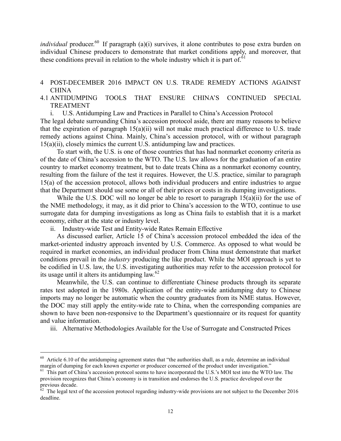*individual* producer.<sup>60</sup> If paragraph (a)(i) survives, it alone contributes to pose extra burden on individual Chinese producers to demonstrate that market conditions apply, and moreover, that these conditions prevail in relation to the whole industry which it is part of.<sup>61</sup>

# 4 POST-DECEMBER 2016 IMPACT ON U.S. TRADE REMEDY ACTIONS AGAINST CHINA

# 4.1 ANTIDUMPING TOOLS THAT ENSURE CHINA'S CONTINUED SPECIAL TREATMENT

i. U.S. Antidumping Law and Practices in Parallel to China's Accession Protocol

The legal debate surrounding China's accession protocol aside, there are many reasons to believe that the expiration of paragraph  $15(a)(ii)$  will not make much practical difference to U.S. trade remedy actions against China. Mainly, China's accession protocol, with or without paragraph 15(a)(ii), closely mimics the current U.S. antidumping law and practices.

 To start with, the U.S. is one of those countries that has had nonmarket economy criteria as of the date of China's accession to the WTO. The U.S. law allows for the graduation of an entire country to market economy treatment, but to date treats China as a nonmarket economy country, resulting from the failure of the test it requires. However, the U.S. practice, similar to paragraph 15(a) of the accession protocol, allows both individual producers and entire industries to argue that the Department should use some or all of their prices or costs in its dumping investigations.

While the U.S. DOC will no longer be able to resort to paragraph  $15(a)(ii)$  for the use of the NME methodology, it may, as it did prior to China's accession to the WTO, continue to use surrogate data for dumping investigations as long as China fails to establish that it is a market economy, either at the state or industry level.

ii. Industry-wide Test and Entity-wide Rates Remain Effective

-

As discussed earlier, Article 15 of China's accession protocol embedded the idea of the market-oriented industry approach invented by U.S. Commerce. As opposed to what would be required in market economies, an individual producer from China must demonstrate that market conditions prevail in the *industry* producing the like product. While the MOI approach is yet to be codified in U.S. law, the U.S. investigating authorities may refer to the accession protocol for its usage until it alters its antidumping law. $62$ 

 Meanwhile, the U.S. can continue to differentiate Chinese products through its separate rates test adopted in the 1980s. Application of the entity-wide antidumping duty to Chinese imports may no longer be automatic when the country graduates from its NME status. However, the DOC may still apply the entity-wide rate to China, when the corresponding companies are shown to have been non-responsive to the Department's questionnaire or its request for quantity and value information.

iii. Alternative Methodologies Available for the Use of Surrogate and Constructed Prices

 $60$  Article 6.10 of the antidumping agreement states that "the authorities shall, as a rule, determine an individual margin of dumping for each known exporter or producer concerned of the product under investigation."<br><sup>61</sup> This part of China's accession protocol seems to have incorporated the U.S.'s MOI test into the WTO law. The

provision recognizes that China's economy is in transition and endorses the U.S. practice developed over the previous decade.

 $62$  The legal text of the accession protocol regarding industry-wide provisions are not subject to the December 2016 deadline.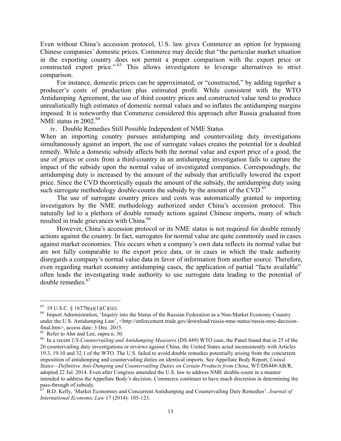Even without China's accession protocol, U.S. law gives Commerce an option for bypassing Chinese companies' domestic prices. Commerce may decide that "the particular market situation in the exporting country does not permit a proper comparison with the export price or constructed export price."<sup>63</sup> This allows investigators to leverage alternatives to strict comparison.

 For instance, domestic prices can be approximated, or "constructed," by adding together a producer's costs of production plus estimated profit. While consistent with the WTO Antidumping Agreement, the use of third country prices and constructed value tend to produce unrealistically high estimates of domestic normal values and so inflates the antidumping margins imposed. It is noteworthy that Commerce considered this approach after Russia graduated from NME status in  $2002.^{64}$ 

iv. Double Remedies Still Possible Independent of NME Status

When an importing country pursues antidumping and countervailing duty investigations simultaneously against an import, the use of surrogate values creates the potential for a doubled remedy. While a domestic subsidy affects both the normal value and export price of a good, the use of prices or costs from a third-country in an antidumping investigation fails to capture the impact of the subsidy upon the normal value of investigated companies. Correspondingly, the antidumping duty is increased by the amount of the subsidy that artificially lowered the export price. Since the CVD theoretically equals the amount of the subsidy, the antidumping duty using such surrogate methodology double-counts the subsidy by the amount of the CVD. $^{65}$ 

 The use of surrogate country prices and costs was automatically granted to importing investigators by the NME methodology authorized under China's accession protocol. This naturally led to a plethora of double remedy actions against Chinese imports, many of which resulted in trade grievances with China.<sup>66</sup>

However, China's accession protocol or its NME status is not required for double remedy actions against the country. In fact, surrogates for normal value are quite commonly used in cases against market economies. This occurs when a company's own data reflects its normal value but are not fully comparable to the export price data, or in cases in which the trade authority disregards a company's normal value data in favor of information from another source. Therefore, even regarding market economy antidumping cases, the application of partial "facts available" often leads the investigating trade authority to use surrogate data leading to the potential of double remedies.<sup>67</sup>

<sup>&</sup>lt;sup>63</sup> 19 U.S.C. § 1677b(a)(1)(C)(iii).<br><sup>64</sup> Import Administration, 'Inquiry into the Status of the Russian Federation as a Non-Market Economy Country under the U.S. Antidumping Law', <http://enforcement.trade.gov/download/russia-nme-status/russia-nme-decisionfinal.htm>, access date: 3 Dec. 2015.<br><sup>65</sup> Refer to Ahn and Lee, supra n. 30.

<sup>&</sup>lt;sup>66</sup> In a recent *US-Countervailing and Antidumping Measures* (DS 449) WTO case, the Panel found that in 25 of the 26 countervailing duty investigations or reviews against China, the United States acted inconsistently with Articles 19.3, 19.10 and 32.1 of the WTO. The U.S. failed to avoid double remedies potentially arising from the concurrent imposition of antidumping and countervailing duties on identical imports. See Appellate Body Report, *United States—Definitive Anti-Dumping and Countervailing Duties on Certain Products from China*, WT/DS449/AB/R, adopted 22 Jul. 2014. Even after Congress amended the U.S. law to address NME double-count in a manner intended to address the Appellate Body's decision, Commerce continues to have much discretion in determining the pass-through of subsidy.<br><sup>67</sup> B.D. Kelly, 'Market Economies and Concurrent Antidumping and Countervailing Duty Remedies'. *Journal of* 

*International Economic Law* 17 (2014): 105-123.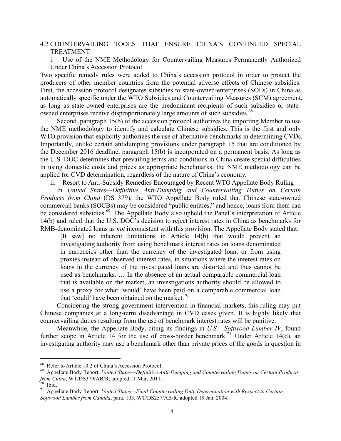# 4.2 COUNTERVAILING TOOLS THAT ENSURE CHINA'S CONTINUED SPECIAL TREATMENT

i. Use of the NME Methodology for Countervailing Measures Permanently Authorized Under China's Accession Protocol

Two specific remedy rules were added to China's accession protocol in order to protect the producers of other member countries from the potential adverse effects of Chinese subsidies. First, the accession protocol designates subsidies to state-owned-enterprises (SOEs) in China as automatically specific under the WTO Subsidies and Countervailing Measures (SCM) agreement, as long as state-owned enterprises are the predominant recipients of such subsidies or stateowned enterprises receive disproportionately large amounts of such subsidies.<sup>68</sup>

 Second, paragraph 15(b) of the accession protocol authorizes the importing Member to use the NME methodology to identify and calculate Chinese subsidies. This is the first and only WTO provision that explicitly authorizes the use of alternative benchmarks in determining CVDs. Importantly, unlike certain antidumping provisions under paragraph 15 that are conditioned by the December 2016 deadline, paragraph 15(b) is incorporated on a permanent basis. As long as the U.S. DOC determines that prevailing terms and conditions in China create special difficulties in using domestic costs and prices as appropriate benchmarks, the NME methodology can be applied for CVD determination, regardless of the nature of China's economy.

ii. Resort to Anti-Subsidy Remedies Encouraged by Recent WTO Appellate Body Ruling

In *United States—Definitive Anti-Dumping and Countervailing Duties on Certain Products from China* (DS 379), the WTO Appellate Body ruled that Chinese state-owned commercial banks (SOCBs) may be considered "public entities," and hence, loans from them can be considered subsidies.<sup>69</sup> The Appellate Body also upheld the Panel's interpretation of Article 14(b) and ruled that the U.S. DOC's decision to reject interest rates in China as benchmarks for RMB-denominated loans as *not* inconsistent with this provision. The Appellate Body stated that:

[It saw] no inherent limitations in Article 14(b) that would prevent an investigating authority from using benchmark interest rates on loans denominated in currencies other than the currency of the investigated loan, or from using proxies instead of observed interest rates, in situations where the interest rates on loans in the currency of the investigated loans are distorted and thus cannot be used as benchmarks. … In the absence of an actual comparable commercial loan that is available on the market, an investigations authority should be allowed to use a proxy for what 'would' have been paid on a comparable commercial loan that 'could' have been obtained on the market. $\frac{70}{ }$ 

 Considering the strong government intervention in financial markets, this ruling may put Chinese companies at a long-term disadvantage in CVD cases given. It is highly likely that countervailing duties resulting from the use of benchmark interest rates will be punitive.

Meanwhile, the Appellate Body, citing its findings in *U.S.—Softwood Lumber IV*, found further scope in Article 14 for the use of cross-border benchmark.<sup>71</sup> Under Article 14(d), an investigating authority may use a benchmark other than private prices of the goods in question in

<sup>&</sup>lt;sup>68</sup> Refer to Article 10.2 of China's Accession Protocol.<br><sup>69</sup> Appellate Body Report, *United States—Definitive Anti-Dumping and Countervailing Duties on Certain Products from China, WT/DS379/AB/R, adopted 11 Mar. 2011.<br><sup>7*</sup>

<sup>&</sup>lt;sup>71</sup> Appellate Body Report, *United States—Final Countervailing Duty Determination with Respect to Certain Softwood Lumber from Canada*, para. 103, WT/DS257/AB/R, adopted 19 Jan. 2004.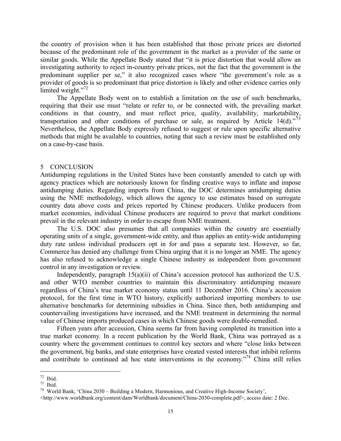the country of provision when it has been established that those private prices are distorted because of the predominant role of the government in the market as a provider of the same or similar goods. While the Appellate Body stated that "it is price distortion that would allow an investigating authority to reject in-country private prices, not the fact that the government is the predominant supplier per se," it also recognized cases where "the government's role as a provider of goods is so predominant that price distortion is likely and other evidence carries only limited weight."<sup>72</sup>

The Appellate Body went on to establish a limitation on the use of such benchmarks, requiring that their use must "relate or refer to, or be connected with, the prevailing market conditions in that country, and must reflect price, quality, availability, marketability, transportation and other conditions of purchase or sale, as required by Article 14(d).<sup>73</sup> Nevertheless, the Appellate Body expressly refused to suggest or rule upon specific alternative methods that might be available to countries, noting that such a review must be established only on a case-by-case basis.

## 5 CONCLUSION

Antidumping regulations in the United States have been constantly amended to catch up with agency practices which are notoriously known for finding creative ways to inflate and impose antidumping duties. Regarding imports from China, the DOC determines antidumping duties using the NME methodology, which allows the agency to use estimates based on surrogate country data above costs and prices reported by Chinese producers. Unlike producers from market economies, individual Chinese producers are required to prove that market conditions prevail in the relevant industry in order to escape from NME treatment.

 The U.S. DOC also presumes that all companies within the country are essentially operating units of a single, government-wide entity, and thus applies an entity-wide antidumping duty rate unless individual producers opt in for and pass a separate test. However, so far, Commerce has denied any challenge from China urging that it is no longer an NME. The agency has also refused to acknowledge a single Chinese industry as independent from government control in any investigation or review.

Independently, paragraph 15(a)(ii) of China's accession protocol has authorized the U.S. and other WTO member countries to maintain this discriminatory antidumping measure regardless of China's true market economy status until 11 December 2016. China's accession protocol, for the first time in WTO history, explicitly authorized importing members to use alternative benchmarks for determining subsidies in China. Since then, both antidumping and countervailing investigations have increased, and the NME treatment in determining the normal value of Chinese imports produced cases in which Chinese goods were double-remedied.

Fifteen years after accession, China seems far from having completed its transition into a true market economy. In a recent publication by the World Bank, China was portrayed as a country where the government continues to control key sectors and where "close links between the government, big banks, and state enterprises have created vested interests that inhibit reforms and contribute to continued ad hoc state interventions in the economy.<sup>"74</sup> China still relies

<sup>-</sup>

<sup>&</sup>lt;sup>72</sup> Ibid.<br><sup>73</sup> Ibid.<br><sup>74</sup> World Bank, 'China 2030 – Building a Modern, Harmonious, and Creative High-Income Society',

<sup>&</sup>lt;http://www.worldbank.org/content/dam/Worldbank/document/China-2030-complete.pdf>, access date: 2 Dec.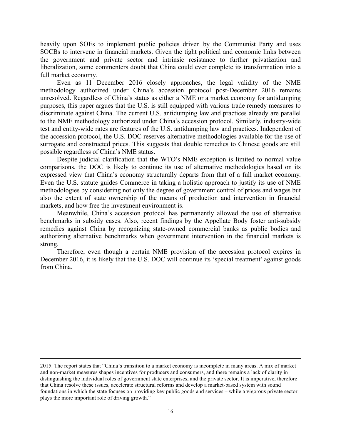heavily upon SOEs to implement public policies driven by the Communist Party and uses SOCBs to intervene in financial markets. Given the tight political and economic links between the government and private sector and intrinsic resistance to further privatization and liberalization, some commenters doubt that China could ever complete its transformation into a full market economy.

Even as 11 December 2016 closely approaches, the legal validity of the NME methodology authorized under China's accession protocol post-December 2016 remains unresolved. Regardless of China's status as either a NME or a market economy for antidumping purposes, this paper argues that the U.S. is still equipped with various trade remedy measures to discriminate against China. The current U.S. antidumping law and practices already are parallel to the NME methodology authorized under China's accession protocol. Similarly, industry-wide test and entity-wide rates are features of the U.S. antidumping law and practices. Independent of the accession protocol, the U.S. DOC reserves alternative methodologies available for the use of surrogate and constructed prices. This suggests that double remedies to Chinese goods are still possible regardless of China's NME status.

Despite judicial clarification that the WTO's NME exception is limited to normal value comparisons, the DOC is likely to continue its use of alternative methodologies based on its expressed view that China's economy structurally departs from that of a full market economy. Even the U.S. statute guides Commerce in taking a holistic approach to justify its use of NME methodologies by considering not only the degree of government control of prices and wages but also the extent of state ownership of the means of production and intervention in financial markets, and how free the investment environment is.

Meanwhile, China's accession protocol has permanently allowed the use of alternative benchmarks in subsidy cases. Also, recent findings by the Appellate Body foster anti-subsidy remedies against China by recognizing state-owned commercial banks as public bodies and authorizing alternative benchmarks when government intervention in the financial markets is strong.

Therefore, even though a certain NME provision of the accession protocol expires in December 2016, it is likely that the U.S. DOC will continue its 'special treatment' against goods from China.

<sup>2015.</sup> The report states that "China's transition to a market economy is incomplete in many areas. A mix of market and non-market measures shapes incentives for producers and consumers, and there remains a lack of clarity in distinguishing the individual roles of government state enterprises, and the private sector. It is imperative, therefore that China resolve these issues, accelerate structural reforms and develop a market-based system with sound foundations in which the state focuses on providing key public goods and services – while a vigorous private sector plays the more important role of driving growth."